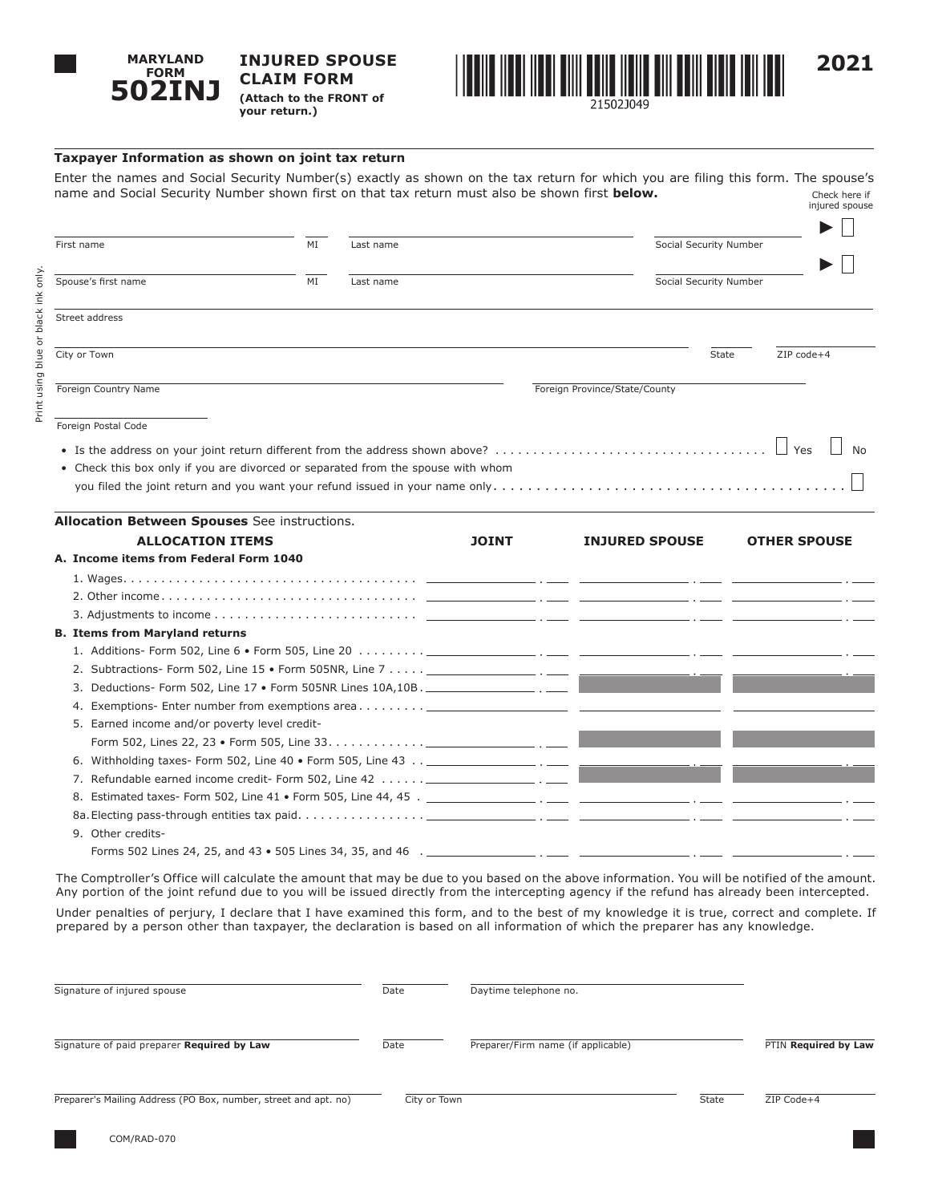

**INJURED SPOUSE CLAIM FORM (Attach to the FRONT of your return.)**



**Taxpayer Information as shown on joint tax return**

Enter the names and Social Security Number(s) exactly as shown on the tax return for which you are filing this form. The spouse's name and Social Security Number shown first on that tax return must also be shown first **below.** Check here if injured spouse

| MI<br>Social Security Number<br>First name<br>Last name<br>Spouse's first name<br>MI<br>Social Security Number<br>Last name<br>Street address<br>City or Town<br>State<br>ZIP code+4<br>Foreign Country Name<br>Foreign Province/State/County<br>Foreign Postal Code<br>• Check this box only if you are divorced or separated from the spouse with whom<br>Allocation Between Spouses See instructions.<br><b>ALLOCATION ITEMS</b><br><b>JOINT</b><br><b>INJURED SPOUSE</b><br><b>OTHER SPOUSE</b><br>A. Income items from Federal Form 1040<br><b>B. Items from Maryland returns</b><br>1. Additions- Form 502, Line 6 • Form 505, Line 20 $\dots \dots \dots$<br>3. Deductions- Form 502, Line 17 • Form 505NR Lines 10A,10B. ___________________. |  |  |  |
|-------------------------------------------------------------------------------------------------------------------------------------------------------------------------------------------------------------------------------------------------------------------------------------------------------------------------------------------------------------------------------------------------------------------------------------------------------------------------------------------------------------------------------------------------------------------------------------------------------------------------------------------------------------------------------------------------------------------------------------------------------|--|--|--|
|                                                                                                                                                                                                                                                                                                                                                                                                                                                                                                                                                                                                                                                                                                                                                       |  |  |  |
|                                                                                                                                                                                                                                                                                                                                                                                                                                                                                                                                                                                                                                                                                                                                                       |  |  |  |
|                                                                                                                                                                                                                                                                                                                                                                                                                                                                                                                                                                                                                                                                                                                                                       |  |  |  |
|                                                                                                                                                                                                                                                                                                                                                                                                                                                                                                                                                                                                                                                                                                                                                       |  |  |  |
|                                                                                                                                                                                                                                                                                                                                                                                                                                                                                                                                                                                                                                                                                                                                                       |  |  |  |
|                                                                                                                                                                                                                                                                                                                                                                                                                                                                                                                                                                                                                                                                                                                                                       |  |  |  |
|                                                                                                                                                                                                                                                                                                                                                                                                                                                                                                                                                                                                                                                                                                                                                       |  |  |  |
|                                                                                                                                                                                                                                                                                                                                                                                                                                                                                                                                                                                                                                                                                                                                                       |  |  |  |
|                                                                                                                                                                                                                                                                                                                                                                                                                                                                                                                                                                                                                                                                                                                                                       |  |  |  |
|                                                                                                                                                                                                                                                                                                                                                                                                                                                                                                                                                                                                                                                                                                                                                       |  |  |  |
|                                                                                                                                                                                                                                                                                                                                                                                                                                                                                                                                                                                                                                                                                                                                                       |  |  |  |
|                                                                                                                                                                                                                                                                                                                                                                                                                                                                                                                                                                                                                                                                                                                                                       |  |  |  |
|                                                                                                                                                                                                                                                                                                                                                                                                                                                                                                                                                                                                                                                                                                                                                       |  |  |  |
|                                                                                                                                                                                                                                                                                                                                                                                                                                                                                                                                                                                                                                                                                                                                                       |  |  |  |
|                                                                                                                                                                                                                                                                                                                                                                                                                                                                                                                                                                                                                                                                                                                                                       |  |  |  |
|                                                                                                                                                                                                                                                                                                                                                                                                                                                                                                                                                                                                                                                                                                                                                       |  |  |  |
|                                                                                                                                                                                                                                                                                                                                                                                                                                                                                                                                                                                                                                                                                                                                                       |  |  |  |
|                                                                                                                                                                                                                                                                                                                                                                                                                                                                                                                                                                                                                                                                                                                                                       |  |  |  |
|                                                                                                                                                                                                                                                                                                                                                                                                                                                                                                                                                                                                                                                                                                                                                       |  |  |  |
|                                                                                                                                                                                                                                                                                                                                                                                                                                                                                                                                                                                                                                                                                                                                                       |  |  |  |
|                                                                                                                                                                                                                                                                                                                                                                                                                                                                                                                                                                                                                                                                                                                                                       |  |  |  |
| 5. Earned income and/or poverty level credit-                                                                                                                                                                                                                                                                                                                                                                                                                                                                                                                                                                                                                                                                                                         |  |  |  |
|                                                                                                                                                                                                                                                                                                                                                                                                                                                                                                                                                                                                                                                                                                                                                       |  |  |  |
| 6. Withholding taxes- Form 502, Line 40 $\bullet$ Form 505, Line 43 $\dots$                                                                                                                                                                                                                                                                                                                                                                                                                                                                                                                                                                                                                                                                           |  |  |  |
| 7. Refundable earned income credit- Form 502, Line 42 $\dots \dots$                                                                                                                                                                                                                                                                                                                                                                                                                                                                                                                                                                                                                                                                                   |  |  |  |
|                                                                                                                                                                                                                                                                                                                                                                                                                                                                                                                                                                                                                                                                                                                                                       |  |  |  |
|                                                                                                                                                                                                                                                                                                                                                                                                                                                                                                                                                                                                                                                                                                                                                       |  |  |  |
| 9. Other credits-                                                                                                                                                                                                                                                                                                                                                                                                                                                                                                                                                                                                                                                                                                                                     |  |  |  |
|                                                                                                                                                                                                                                                                                                                                                                                                                                                                                                                                                                                                                                                                                                                                                       |  |  |  |

The Comptroller's Office will calculate the amount that may be due to you based on the above information. You will be notified of the amount. Any portion of the joint refund due to you will be issued directly from the intercepting agency if the refund has already been intercepted.

Under penalties of perjury, I declare that I have examined this form, and to the best of my knowledge it is true, correct and complete. If prepared by a person other than taxpayer, the declaration is based on all information of which the preparer has any knowledge.

| Signature of injured spouse                                     | Date         | Daytime telephone no.              |       |                      |
|-----------------------------------------------------------------|--------------|------------------------------------|-------|----------------------|
| Signature of paid preparer Required by Law                      | Date         | Preparer/Firm name (if applicable) |       | PTIN Required by Law |
| Preparer's Mailing Address (PO Box, number, street and apt. no) | City or Town |                                    | State | ZIP Code+4           |